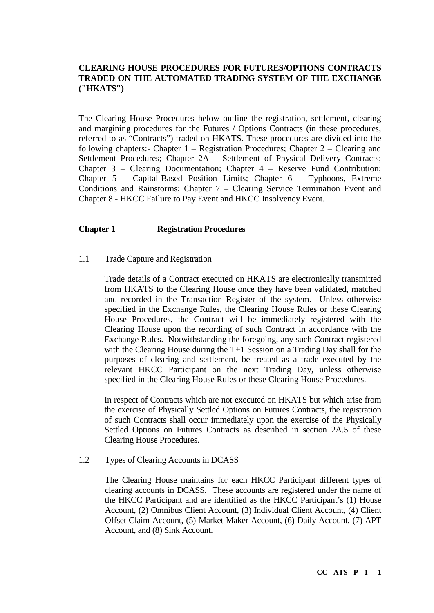# **CLEARING HOUSE PROCEDURES FOR FUTURES/OPTIONS CONTRACTS TRADED ON THE AUTOMATED TRADING SYSTEM OF THE EXCHANGE ("HKATS")**

The Clearing House Procedures below outline the registration, settlement, clearing and margining procedures for the Futures / Options Contracts (in these procedures, referred to as "Contracts") traded on HKATS. These procedures are divided into the following chapters:- Chapter 1 – Registration Procedures; Chapter 2 – Clearing and Settlement Procedures; Chapter 2A – Settlement of Physical Delivery Contracts; Chapter 3 – Clearing Documentation; Chapter 4 – Reserve Fund Contribution; Chapter 5 – Capital-Based Position Limits; Chapter 6 – Typhoons, Extreme Conditions and Rainstorms; Chapter 7 – Clearing Service Termination Event and Chapter 8 - HKCC Failure to Pay Event and HKCC Insolvency Event.

# **Chapter 1 Registration Procedures**

1.1 Trade Capture and Registration

Trade details of a Contract executed on HKATS are electronically transmitted from HKATS to the Clearing House once they have been validated, matched and recorded in the Transaction Register of the system. Unless otherwise specified in the Exchange Rules, the Clearing House Rules or these Clearing House Procedures, the Contract will be immediately registered with the Clearing House upon the recording of such Contract in accordance with the Exchange Rules. Notwithstanding the foregoing, any such Contract registered with the Clearing House during the T+1 Session on a Trading Day shall for the purposes of clearing and settlement, be treated as a trade executed by the relevant HKCC Participant on the next Trading Day, unless otherwise specified in the Clearing House Rules or these Clearing House Procedures.

In respect of Contracts which are not executed on HKATS but which arise from the exercise of Physically Settled Options on Futures Contracts, the registration of such Contracts shall occur immediately upon the exercise of the Physically Settled Options on Futures Contracts as described in section 2A.5 of these Clearing House Procedures.

1.2 Types of Clearing Accounts in DCASS

The Clearing House maintains for each HKCC Participant different types of clearing accounts in DCASS. These accounts are registered under the name of the HKCC Participant and are identified as the HKCC Participant's (1) House Account, (2) Omnibus Client Account, (3) Individual Client Account, (4) Client Offset Claim Account, (5) Market Maker Account, (6) Daily Account, (7) APT Account, and (8) Sink Account.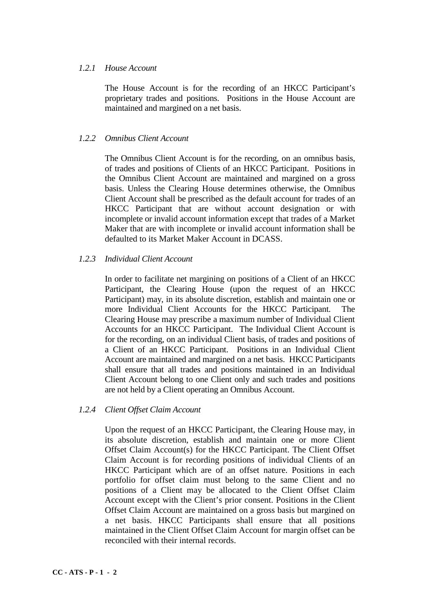### *1.2.1 House Account*

The House Account is for the recording of an HKCC Participant's proprietary trades and positions. Positions in the House Account are maintained and margined on a net basis.

### *1.2.2 Omnibus Client Account*

The Omnibus Client Account is for the recording, on an omnibus basis, of trades and positions of Clients of an HKCC Participant. Positions in the Omnibus Client Account are maintained and margined on a gross basis. Unless the Clearing House determines otherwise, the Omnibus Client Account shall be prescribed as the default account for trades of an HKCC Participant that are without account designation or with incomplete or invalid account information except that trades of a Market Maker that are with incomplete or invalid account information shall be defaulted to its Market Maker Account in DCASS.

## *1.2.3 Individual Client Account*

In order to facilitate net margining on positions of a Client of an HKCC Participant, the Clearing House (upon the request of an HKCC Participant) may, in its absolute discretion, establish and maintain one or more Individual Client Accounts for the HKCC Participant. The Clearing House may prescribe a maximum number of Individual Client Accounts for an HKCC Participant. The Individual Client Account is for the recording, on an individual Client basis, of trades and positions of a Client of an HKCC Participant. Positions in an Individual Client Account are maintained and margined on a net basis. HKCC Participants shall ensure that all trades and positions maintained in an Individual Client Account belong to one Client only and such trades and positions are not held by a Client operating an Omnibus Account.

### *1.2.4 Client Offset Claim Account*

Upon the request of an HKCC Participant, the Clearing House may, in its absolute discretion, establish and maintain one or more Client Offset Claim Account(s) for the HKCC Participant. The Client Offset Claim Account is for recording positions of individual Clients of an HKCC Participant which are of an offset nature. Positions in each portfolio for offset claim must belong to the same Client and no positions of a Client may be allocated to the Client Offset Claim Account except with the Client's prior consent. Positions in the Client Offset Claim Account are maintained on a gross basis but margined on a net basis. HKCC Participants shall ensure that all positions maintained in the Client Offset Claim Account for margin offset can be reconciled with their internal records.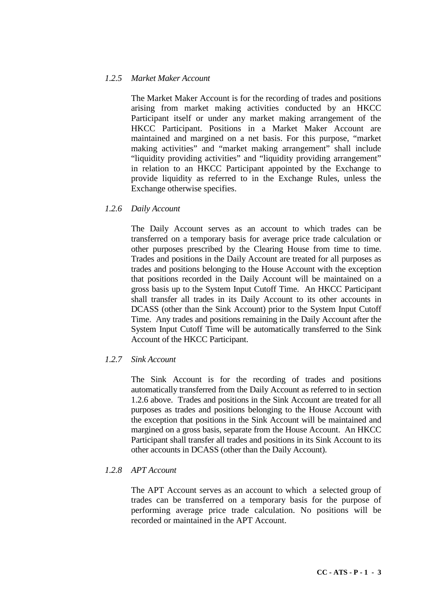## *1.2.5 Market Maker Account*

The Market Maker Account is for the recording of trades and positions arising from market making activities conducted by an HKCC Participant itself or under any market making arrangement of the HKCC Participant. Positions in a Market Maker Account are maintained and margined on a net basis. For this purpose, "market making activities" and "market making arrangement" shall include "liquidity providing activities" and "liquidity providing arrangement" in relation to an HKCC Participant appointed by the Exchange to provide liquidity as referred to in the Exchange Rules, unless the Exchange otherwise specifies.

# *1.2.6 Daily Account*

The Daily Account serves as an account to which trades can be transferred on a temporary basis for average price trade calculation or other purposes prescribed by the Clearing House from time to time. Trades and positions in the Daily Account are treated for all purposes as trades and positions belonging to the House Account with the exception that positions recorded in the Daily Account will be maintained on a gross basis up to the System Input Cutoff Time. An HKCC Participant shall transfer all trades in its Daily Account to its other accounts in DCASS (other than the Sink Account) prior to the System Input Cutoff Time. Any trades and positions remaining in the Daily Account after the System Input Cutoff Time will be automatically transferred to the Sink Account of the HKCC Participant.

## *1.2.7 Sink Account*

The Sink Account is for the recording of trades and positions automatically transferred from the Daily Account as referred to in section 1.2.6 above. Trades and positions in the Sink Account are treated for all purposes as trades and positions belonging to the House Account with the exception that positions in the Sink Account will be maintained and margined on a gross basis, separate from the House Account. An HKCC Participant shall transfer all trades and positions in its Sink Account to its other accounts in DCASS (other than the Daily Account).

## *1.2.8 APT Account*

The APT Account serves as an account to which a selected group of trades can be transferred on a temporary basis for the purpose of performing average price trade calculation. No positions will be recorded or maintained in the APT Account.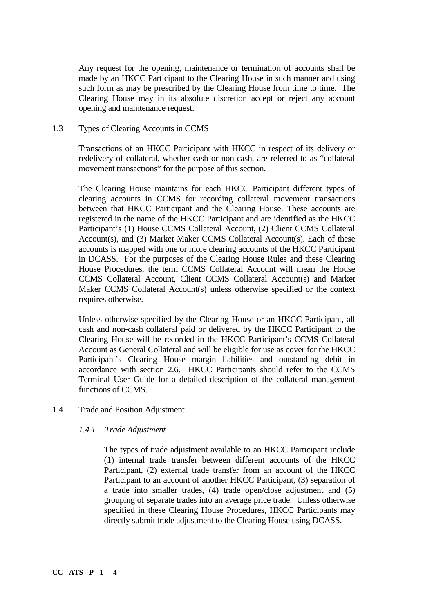Any request for the opening, maintenance or termination of accounts shall be made by an HKCC Participant to the Clearing House in such manner and using such form as may be prescribed by the Clearing House from time to time. The Clearing House may in its absolute discretion accept or reject any account opening and maintenance request.

### 1.3 Types of Clearing Accounts in CCMS

Transactions of an HKCC Participant with HKCC in respect of its delivery or redelivery of collateral, whether cash or non-cash, are referred to as "collateral movement transactions" for the purpose of this section.

The Clearing House maintains for each HKCC Participant different types of clearing accounts in CCMS for recording collateral movement transactions between that HKCC Participant and the Clearing House. These accounts are registered in the name of the HKCC Participant and are identified as the HKCC Participant's (1) House CCMS Collateral Account, (2) Client CCMS Collateral Account(s), and (3) Market Maker CCMS Collateral Account(s). Each of these accounts is mapped with one or more clearing accounts of the HKCC Participant in DCASS. For the purposes of the Clearing House Rules and these Clearing House Procedures, the term CCMS Collateral Account will mean the House CCMS Collateral Account, Client CCMS Collateral Account(s) and Market Maker CCMS Collateral Account(s) unless otherwise specified or the context requires otherwise.

Unless otherwise specified by the Clearing House or an HKCC Participant, all cash and non-cash collateral paid or delivered by the HKCC Participant to the Clearing House will be recorded in the HKCC Participant's CCMS Collateral Account as General Collateral and will be eligible for use as cover for the HKCC Participant's Clearing House margin liabilities and outstanding debit in accordance with section 2.6. HKCC Participants should refer to the CCMS Terminal User Guide for a detailed description of the collateral management functions of CCMS.

### 1.4 Trade and Position Adjustment

#### *1.4.1 Trade Adjustment*

The types of trade adjustment available to an HKCC Participant include (1) internal trade transfer between different accounts of the HKCC Participant, (2) external trade transfer from an account of the HKCC Participant to an account of another HKCC Participant, (3) separation of a trade into smaller trades, (4) trade open/close adjustment and (5) grouping of separate trades into an average price trade. Unless otherwise specified in these Clearing House Procedures, HKCC Participants may directly submit trade adjustment to the Clearing House using DCASS.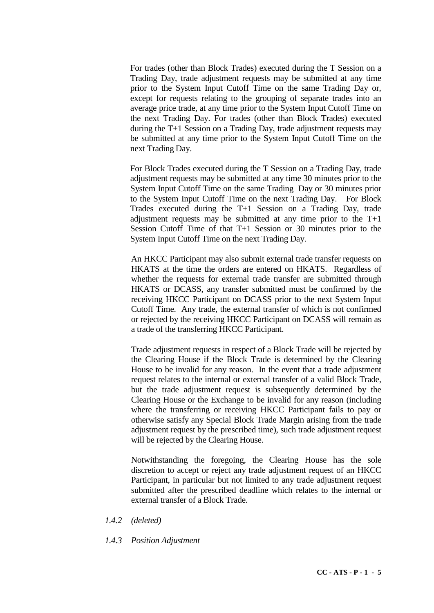For trades (other than Block Trades) executed during the T Session on a Trading Day, trade adjustment requests may be submitted at any time prior to the System Input Cutoff Time on the same Trading Day or, except for requests relating to the grouping of separate trades into an average price trade, at any time prior to the System Input Cutoff Time on the next Trading Day. For trades (other than Block Trades) executed during the T+1 Session on a Trading Day, trade adjustment requests may be submitted at any time prior to the System Input Cutoff Time on the next Trading Day.

For Block Trades executed during the T Session on a Trading Day, trade adjustment requests may be submitted at any time 30 minutes prior to the System Input Cutoff Time on the same Trading Day or 30 minutes prior to the System Input Cutoff Time on the next Trading Day. For Block Trades executed during the T+1 Session on a Trading Day, trade adjustment requests may be submitted at any time prior to the T+1 Session Cutoff Time of that T+1 Session or 30 minutes prior to the System Input Cutoff Time on the next Trading Day.

An HKCC Participant may also submit external trade transfer requests on HKATS at the time the orders are entered on HKATS. Regardless of whether the requests for external trade transfer are submitted through HKATS or DCASS, any transfer submitted must be confirmed by the receiving HKCC Participant on DCASS prior to the next System Input Cutoff Time. Any trade, the external transfer of which is not confirmed or rejected by the receiving HKCC Participant on DCASS will remain as a trade of the transferring HKCC Participant.

Trade adjustment requests in respect of a Block Trade will be rejected by the Clearing House if the Block Trade is determined by the Clearing House to be invalid for any reason. In the event that a trade adjustment request relates to the internal or external transfer of a valid Block Trade, but the trade adjustment request is subsequently determined by the Clearing House or the Exchange to be invalid for any reason (including where the transferring or receiving HKCC Participant fails to pay or otherwise satisfy any Special Block Trade Margin arising from the trade adjustment request by the prescribed time), such trade adjustment request will be rejected by the Clearing House.

Notwithstanding the foregoing, the Clearing House has the sole discretion to accept or reject any trade adjustment request of an HKCC Participant, in particular but not limited to any trade adjustment request submitted after the prescribed deadline which relates to the internal or external transfer of a Block Trade.

- *1.4.2 (deleted)*
- *1.4.3 Position Adjustment*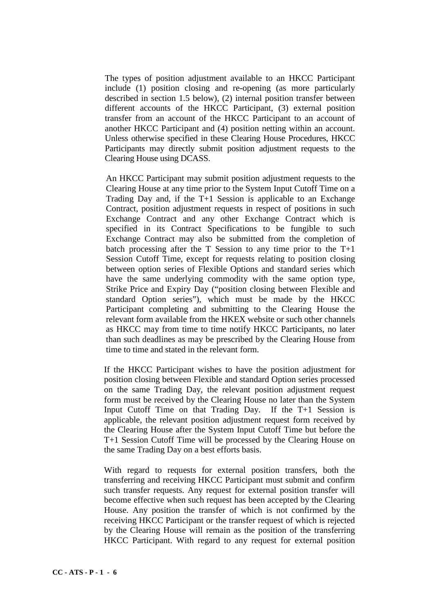The types of position adjustment available to an HKCC Participant include (1) position closing and re-opening (as more particularly described in section 1.5 below), (2) internal position transfer between different accounts of the HKCC Participant, (3) external position transfer from an account of the HKCC Participant to an account of another HKCC Participant and (4) position netting within an account. Unless otherwise specified in these Clearing House Procedures, HKCC Participants may directly submit position adjustment requests to the Clearing House using DCASS.

An HKCC Participant may submit position adjustment requests to the Clearing House at any time prior to the System Input Cutoff Time on a Trading Day and, if the T+1 Session is applicable to an Exchange Contract, position adjustment requests in respect of positions in such Exchange Contract and any other Exchange Contract which is specified in its Contract Specifications to be fungible to such Exchange Contract may also be submitted from the completion of batch processing after the T Session to any time prior to the T+1 Session Cutoff Time, except for requests relating to position closing between option series of Flexible Options and standard series which have the same underlying commodity with the same option type, Strike Price and Expiry Day ("position closing between Flexible and standard Option series"), which must be made by the HKCC Participant completing and submitting to the Clearing House the relevant form available from the HKEX website or such other channels as HKCC may from time to time notify HKCC Participants, no later than such deadlines as may be prescribed by the Clearing House from time to time and stated in the relevant form.

If the HKCC Participant wishes to have the position adjustment for position closing between Flexible and standard Option series processed on the same Trading Day, the relevant position adjustment request form must be received by the Clearing House no later than the System Input Cutoff Time on that Trading Day. If the T+1 Session is applicable, the relevant position adjustment request form received by the Clearing House after the System Input Cutoff Time but before the T+1 Session Cutoff Time will be processed by the Clearing House on the same Trading Day on a best efforts basis.

With regard to requests for external position transfers, both the transferring and receiving HKCC Participant must submit and confirm such transfer requests. Any request for external position transfer will become effective when such request has been accepted by the Clearing House. Any position the transfer of which is not confirmed by the receiving HKCC Participant or the transfer request of which is rejected by the Clearing House will remain as the position of the transferring HKCC Participant. With regard to any request for external position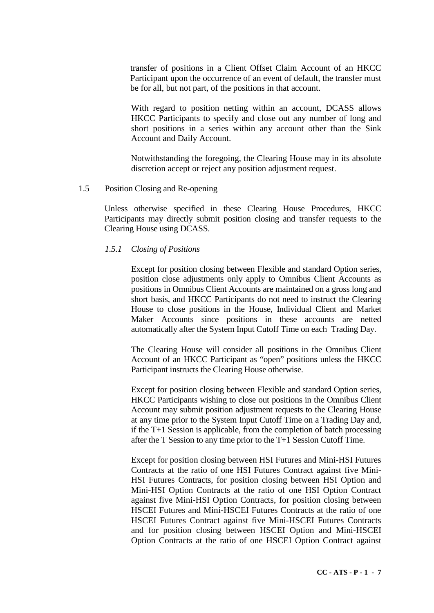transfer of positions in a Client Offset Claim Account of an HKCC Participant upon the occurrence of an event of default, the transfer must be for all, but not part, of the positions in that account.

With regard to position netting within an account, DCASS allows HKCC Participants to specify and close out any number of long and short positions in a series within any account other than the Sink Account and Daily Account.

Notwithstanding the foregoing, the Clearing House may in its absolute discretion accept or reject any position adjustment request.

1.5 Position Closing and Re-opening

Unless otherwise specified in these Clearing House Procedures, HKCC Participants may directly submit position closing and transfer requests to the Clearing House using DCASS.

### *1.5.1 Closing of Positions*

Except for position closing between Flexible and standard Option series, position close adjustments only apply to Omnibus Client Accounts as positions in Omnibus Client Accounts are maintained on a gross long and short basis, and HKCC Participants do not need to instruct the Clearing House to close positions in the House, Individual Client and Market Maker Accounts since positions in these accounts are netted automatically after the System Input Cutoff Time on each Trading Day.

The Clearing House will consider all positions in the Omnibus Client Account of an HKCC Participant as "open" positions unless the HKCC Participant instructs the Clearing House otherwise.

Except for position closing between Flexible and standard Option series, HKCC Participants wishing to close out positions in the Omnibus Client Account may submit position adjustment requests to the Clearing House at any time prior to the System Input Cutoff Time on a Trading Day and, if the T+1 Session is applicable, from the completion of batch processing after the T Session to any time prior to the T+1 Session Cutoff Time.

Except for position closing between HSI Futures and Mini-HSI Futures Contracts at the ratio of one HSI Futures Contract against five Mini-HSI Futures Contracts, for position closing between HSI Option and Mini-HSI Option Contracts at the ratio of one HSI Option Contract against five Mini-HSI Option Contracts, for position closing between HSCEI Futures and Mini-HSCEI Futures Contracts at the ratio of one HSCEI Futures Contract against five Mini-HSCEI Futures Contracts and for position closing between HSCEI Option and Mini-HSCEI Option Contracts at the ratio of one HSCEI Option Contract against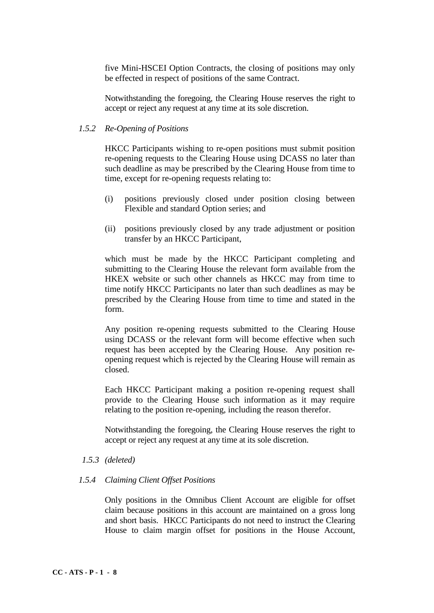five Mini-HSCEI Option Contracts, the closing of positions may only be effected in respect of positions of the same Contract.

Notwithstanding the foregoing, the Clearing House reserves the right to accept or reject any request at any time at its sole discretion.

### *1.5.2 Re-Opening of Positions*

HKCC Participants wishing to re-open positions must submit position re-opening requests to the Clearing House using DCASS no later than such deadline as may be prescribed by the Clearing House from time to time, except for re-opening requests relating to:

- (i) positions previously closed under position closing between Flexible and standard Option series; and
- (ii) positions previously closed by any trade adjustment or position transfer by an HKCC Participant,

which must be made by the HKCC Participant completing and submitting to the Clearing House the relevant form available from the HKEX website or such other channels as HKCC may from time to time notify HKCC Participants no later than such deadlines as may be prescribed by the Clearing House from time to time and stated in the form.

Any position re-opening requests submitted to the Clearing House using DCASS or the relevant form will become effective when such request has been accepted by the Clearing House. Any position reopening request which is rejected by the Clearing House will remain as closed.

Each HKCC Participant making a position re-opening request shall provide to the Clearing House such information as it may require relating to the position re-opening, including the reason therefor.

Notwithstanding the foregoing, the Clearing House reserves the right to accept or reject any request at any time at its sole discretion.

#### *1.5.3 (deleted)*

#### *1.5.4 Claiming Client Offset Positions*

Only positions in the Omnibus Client Account are eligible for offset claim because positions in this account are maintained on a gross long and short basis. HKCC Participants do not need to instruct the Clearing House to claim margin offset for positions in the House Account,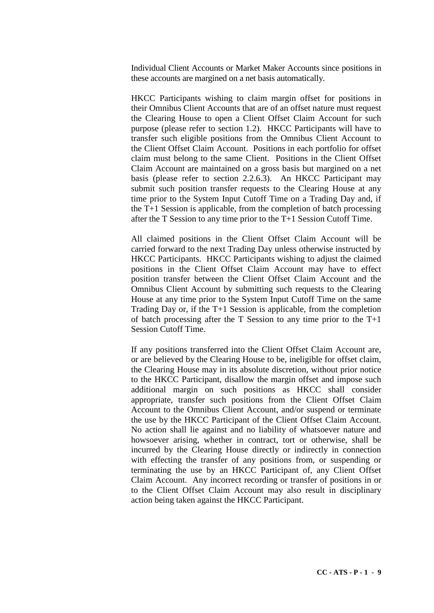Individual Client Accounts or Market Maker Accounts since positions in these accounts are margined on a net basis automatically.

HKCC Participants wishing to claim margin offset for positions in their Omnibus Client Accounts that are of an offset nature must request the Clearing House to open a Client Offset Claim Account for such purpose (please refer to section 1.2). HKCC Participants will have to transfer such eligible positions from the Omnibus Client Account to the Client Offset Claim Account. Positions in each portfolio for offset claim must belong to the same Client. Positions in the Client Offset Claim Account are maintained on a gross basis but margined on a net basis (please refer to section 2.2.6.3). An HKCC Participant may submit such position transfer requests to the Clearing House at any time prior to the System Input Cutoff Time on a Trading Day and, if the T+1 Session is applicable, from the completion of batch processing after the T Session to any time prior to the T+1 Session Cutoff Time.

All claimed positions in the Client Offset Claim Account will be carried forward to the next Trading Day unless otherwise instructed by HKCC Participants. HKCC Participants wishing to adjust the claimed positions in the Client Offset Claim Account may have to effect position transfer between the Client Offset Claim Account and the Omnibus Client Account by submitting such requests to the Clearing House at any time prior to the System Input Cutoff Time on the same Trading Day or, if the T+1 Session is applicable, from the completion of batch processing after the  $T$  Session to any time prior to the  $T+1$ Session Cutoff Time.

If any positions transferred into the Client Offset Claim Account are, or are believed by the Clearing House to be, ineligible for offset claim, the Clearing House may in its absolute discretion, without prior notice to the HKCC Participant, disallow the margin offset and impose such additional margin on such positions as HKCC shall consider appropriate, transfer such positions from the Client Offset Claim Account to the Omnibus Client Account, and/or suspend or terminate the use by the HKCC Participant of the Client Offset Claim Account. No action shall lie against and no liability of whatsoever nature and howsoever arising, whether in contract, tort or otherwise, shall be incurred by the Clearing House directly or indirectly in connection with effecting the transfer of any positions from, or suspending or terminating the use by an HKCC Participant of, any Client Offset Claim Account. Any incorrect recording or transfer of positions in or to the Client Offset Claim Account may also result in disciplinary action being taken against the HKCC Participant.